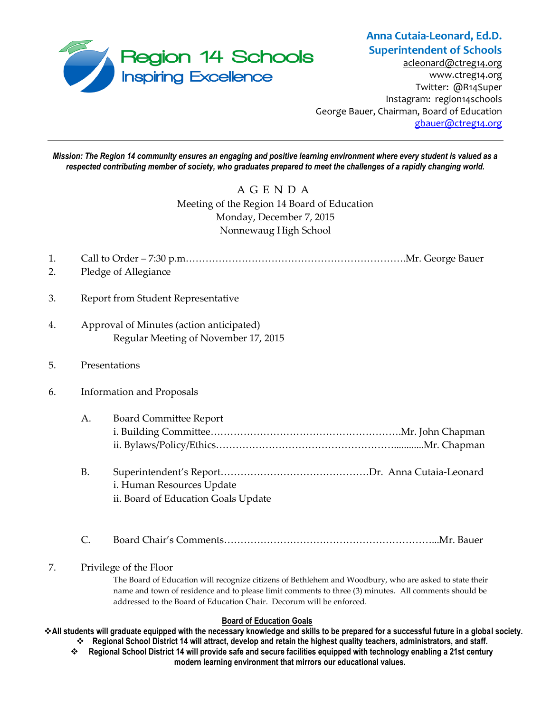

# **Anna Cutaia-Leonard, Ed.D. Superintendent of Schools**

[acleonard@ctreg14.org](mailto:acleonard@ctreg14.org) [www.ctreg14.org](http://www.ctreg14.org/) Twitter: @R14Super Instagram: region14schools George Bauer, Chairman, Board of Education [gbauer@ctreg14.org](mailto:gbauer@ctreg14.org)

*Mission: The Region 14 community ensures an engaging and positive learning environment where every student is valued as a respected contributing member of society, who graduates prepared to meet the challenges of a rapidly changing world.*

### A G E N D A Meeting of the Region 14 Board of Education Monday, December 7, 2015 Nonnewaug High School

- 1. Call to Order 7:30 p.m………………………………………………………….Mr. George Bauer
- 2. Pledge of Allegiance
- 3. Report from Student Representative
- 4. Approval of Minutes (action anticipated) Regular Meeting of November 17, 2015
- 5. Presentations
- 6. Information and Proposals
	- A. Board Committee Report i. Building Committee………………………………………………….Mr. John Chapman ii. Bylaws/Policy/Ethics………………………………………………............Mr. Chapman
	- B. Superintendent's Report………………………………………Dr. Anna Cutaia-Leonard i. Human Resources Update ii. Board of Education Goals Update
	- C. Board Chair's Comments………………………………………………………...Mr. Bauer

### 7. Privilege of the Floor

The Board of Education will recognize citizens of Bethlehem and Woodbury, who are asked to state their name and town of residence and to please limit comments to three (3) minutes. All comments should be addressed to the Board of Education Chair. Decorum will be enforced.

#### **Board of Education Goals**

**All students will graduate equipped with the necessary knowledge and skills to be prepared for a successful future in a global society.** 

- **Regional School District 14 will attract, develop and retain the highest quality teachers, administrators, and staff. Regional School District 14 will provide safe and secure facilities equipped with technology enabling a 21st century** 
	- **modern learning environment that mirrors our educational values.**